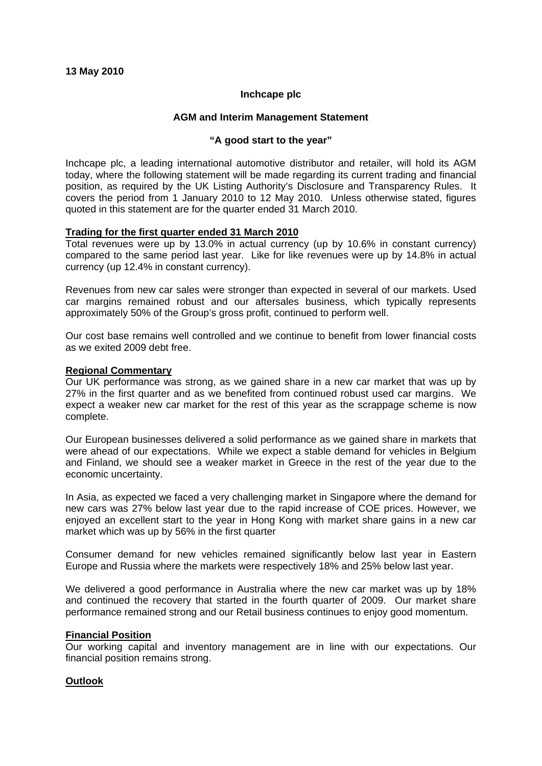# **Inchcape plc**

# **AGM and Interim Management Statement**

#### **"A good start to the year"**

Inchcape plc, a leading international automotive distributor and retailer, will hold its AGM today, where the following statement will be made regarding its current trading and financial position, as required by the UK Listing Authority's Disclosure and Transparency Rules. It covers the period from 1 January 2010 to 12 May 2010. Unless otherwise stated, figures quoted in this statement are for the quarter ended 31 March 2010.

# **Trading for the first quarter ended 31 March 2010**

Total revenues were up by 13.0% in actual currency (up by 10.6% in constant currency) compared to the same period last year. Like for like revenues were up by 14.8% in actual currency (up 12.4% in constant currency).

Revenues from new car sales were stronger than expected in several of our markets. Used car margins remained robust and our aftersales business, which typically represents approximately 50% of the Group's gross profit, continued to perform well.

Our cost base remains well controlled and we continue to benefit from lower financial costs as we exited 2009 debt free.

#### **Regional Commentary**

Our UK performance was strong, as we gained share in a new car market that was up by 27% in the first quarter and as we benefited from continued robust used car margins. We expect a weaker new car market for the rest of this year as the scrappage scheme is now complete.

Our European businesses delivered a solid performance as we gained share in markets that were ahead of our expectations. While we expect a stable demand for vehicles in Belgium and Finland, we should see a weaker market in Greece in the rest of the year due to the economic uncertainty.

In Asia, as expected we faced a very challenging market in Singapore where the demand for new cars was 27% below last year due to the rapid increase of COE prices. However, we enjoyed an excellent start to the year in Hong Kong with market share gains in a new car market which was up by 56% in the first quarter

Consumer demand for new vehicles remained significantly below last year in Eastern Europe and Russia where the markets were respectively 18% and 25% below last year.

We delivered a good performance in Australia where the new car market was up by 18% and continued the recovery that started in the fourth quarter of 2009. Our market share performance remained strong and our Retail business continues to enjoy good momentum.

# **Financial Position**

Our working capital and inventory management are in line with our expectations. Our financial position remains strong.

# **Outlook**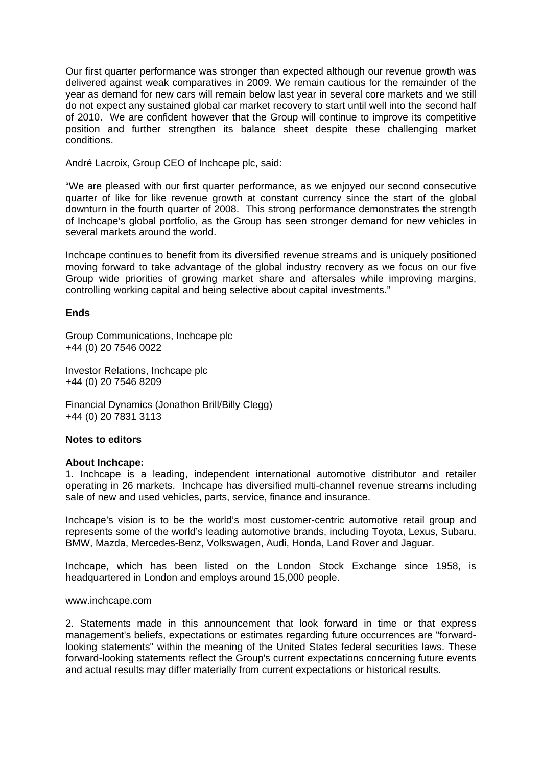Our first quarter performance was stronger than expected although our revenue growth was delivered against weak comparatives in 2009. We remain cautious for the remainder of the year as demand for new cars will remain below last year in several core markets and we still do not expect any sustained global car market recovery to start until well into the second half of 2010. We are confident however that the Group will continue to improve its competitive position and further strengthen its balance sheet despite these challenging market conditions.

André Lacroix, Group CEO of Inchcape plc, said:

"We are pleased with our first quarter performance, as we enjoyed our second consecutive quarter of like for like revenue growth at constant currency since the start of the global downturn in the fourth quarter of 2008. This strong performance demonstrates the strength of Inchcape's global portfolio, as the Group has seen stronger demand for new vehicles in several markets around the world.

Inchcape continues to benefit from its diversified revenue streams and is uniquely positioned moving forward to take advantage of the global industry recovery as we focus on our five Group wide priorities of growing market share and aftersales while improving margins, controlling working capital and being selective about capital investments."

# **Ends**

Group Communications, Inchcape plc +44 (0) 20 7546 0022

Investor Relations, Inchcape plc +44 (0) 20 7546 8209

Financial Dynamics (Jonathon Brill/Billy Clegg) +44 (0) 20 7831 3113

# **Notes to editors**

#### **About Inchcape:**

1. Inchcape is a leading, independent international automotive distributor and retailer operating in 26 markets. Inchcape has diversified multi-channel revenue streams including sale of new and used vehicles, parts, service, finance and insurance.

Inchcape's vision is to be the world's most customer-centric automotive retail group and represents some of the world's leading automotive brands, including Toyota, Lexus, Subaru, BMW, Mazda, Mercedes-Benz, Volkswagen, Audi, Honda, Land Rover and Jaguar.

Inchcape, which has been listed on the London Stock Exchange since 1958, is headquartered in London and employs around 15,000 people.

#### www.inchcape.com

2. Statements made in this announcement that look forward in time or that express management's beliefs, expectations or estimates regarding future occurrences are "forwardlooking statements" within the meaning of the United States federal securities laws. These forward-looking statements reflect the Group's current expectations concerning future events and actual results may differ materially from current expectations or historical results.